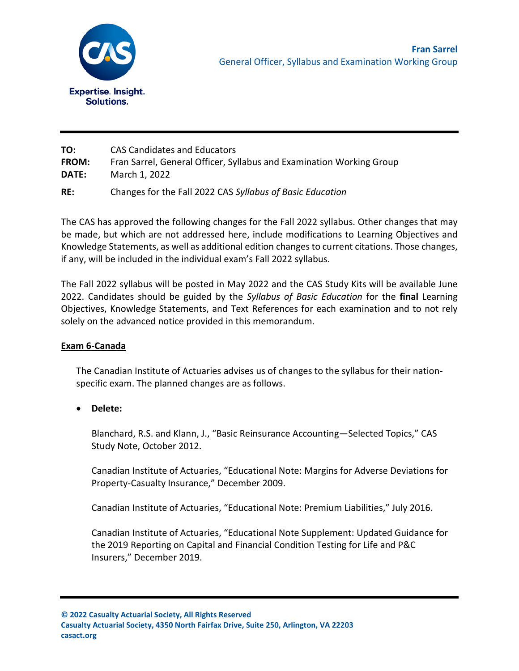

| TO:          | <b>CAS Candidates and Educators</b>                                  |
|--------------|----------------------------------------------------------------------|
| <b>FROM:</b> | Fran Sarrel, General Officer, Syllabus and Examination Working Group |
| <b>DATE:</b> | March 1, 2022                                                        |
| RE:          | Changes for the Fall 2022 CAS Syllabus of Basic Education            |

The CAS has approved the following changes for the Fall 2022 syllabus. Other changes that may be made, but which are not addressed here, include modifications to Learning Objectives and Knowledge Statements, as well as additional edition changes to current citations. Those changes, if any, will be included in the individual exam's Fall 2022 syllabus.

The Fall 2022 syllabus will be posted in May 2022 and the CAS Study Kits will be available June 2022. Candidates should be guided by the *Syllabus of Basic Education* for the **final** Learning Objectives, Knowledge Statements, and Text References for each examination and to not rely solely on the advanced notice provided in this memorandum.

## **Exam 6-Canada**

The Canadian Institute of Actuaries advises us of changes to the syllabus for their nationspecific exam. The planned changes are as follows.

• **Delete:**

Blanchard, R.S. and Klann, J., "Basic Reinsurance Accounting—Selected Topics," CAS Study Note, October 2012.

Canadian Institute of Actuaries, "Educational Note: Margins for Adverse Deviations for Property-Casualty Insurance," December 2009.

Canadian Institute of Actuaries, "Educational Note: Premium Liabilities," July 2016.

Canadian Institute of Actuaries, "Educational Note Supplement: Updated Guidance for the 2019 Reporting on Capital and Financial Condition Testing for Life and P&C Insurers," December 2019.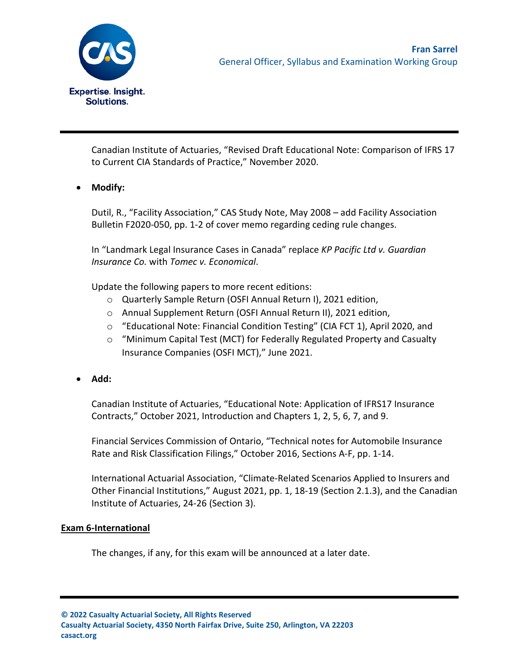

Canadian Institute of Actuaries, "Revised Draft Educational Note: Comparison of IFRS 17 to Current CIA Standards of Practice," November 2020.

• **Modify:**

Dutil, R., "Facility Association," CAS Study Note, May 2008 – add Facility Association Bulletin F2020-050, pp. 1-2 of cover memo regarding ceding rule changes.

In "Landmark Legal Insurance Cases in Canada" replace *KP Pacific Ltd v. Guardian Insurance Co.* with *Tomec v. Economical*.

Update the following papers to more recent editions:

- o Quarterly Sample Return (OSFI Annual Return I), 2021 edition,
- o Annual Supplement Return (OSFI Annual Return II), 2021 edition,
- o "Educational Note: Financial Condition Testing" (CIA FCT 1), April 2020, and
- o "Minimum Capital Test (MCT) for Federally Regulated Property and Casualty Insurance Companies (OSFI MCT)," June 2021.
- **Add:**

Canadian Institute of Actuaries, "Educational Note: Application of IFRS17 Insurance Contracts," October 2021, Introduction and Chapters 1, 2, 5, 6, 7, and 9.

Financial Services Commission of Ontario, "Technical notes for Automobile Insurance Rate and Risk Classification Filings," October 2016, Sections A-F, pp. 1-14.

International Actuarial Association, "Climate-Related Scenarios Applied to Insurers and Other Financial Institutions," August 2021, pp. 1, 18-19 (Section 2.1.3), and the Canadian Institute of Actuaries, 24-26 (Section 3).

## **Exam 6-International**

The changes, if any, for this exam will be announced at a later date.